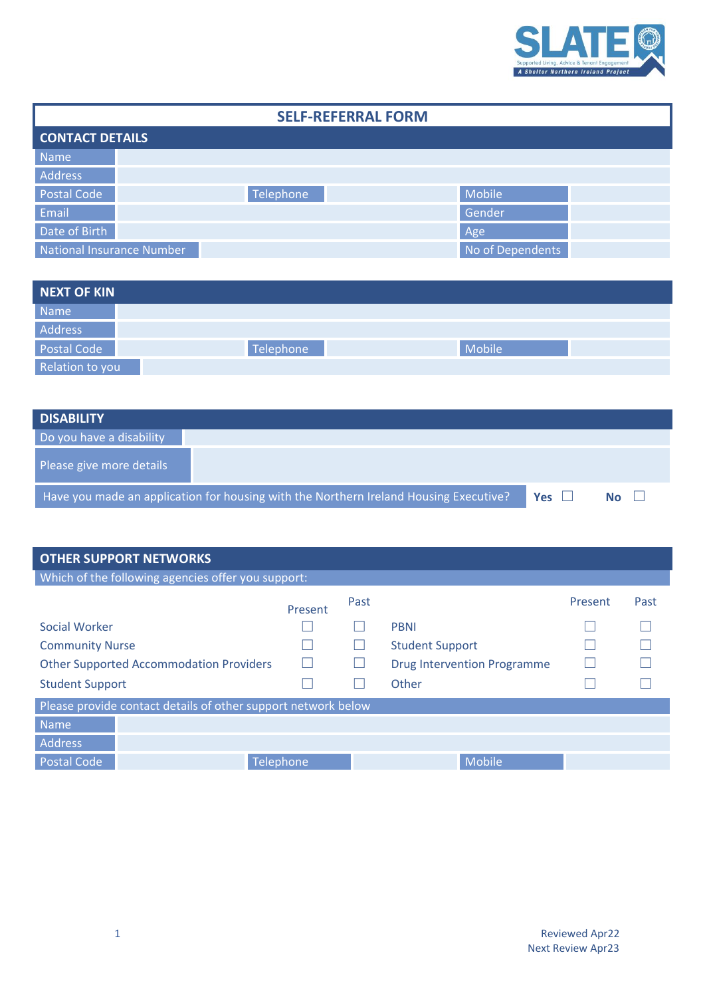

| <b>SELF-REFERRAL FORM</b>        |           |                  |  |  |  |  |  |  |
|----------------------------------|-----------|------------------|--|--|--|--|--|--|
| <b>CONTACT DETAILS</b>           |           |                  |  |  |  |  |  |  |
| Name                             |           |                  |  |  |  |  |  |  |
| Address                          |           |                  |  |  |  |  |  |  |
| Postal Code                      | Telephone | Mobile           |  |  |  |  |  |  |
| Email                            |           | Gender           |  |  |  |  |  |  |
| Date of Birth                    |           | Age              |  |  |  |  |  |  |
| <b>National Insurance Number</b> |           | No of Dependents |  |  |  |  |  |  |

| NEXT OF KIN     |           |        |  |
|-----------------|-----------|--------|--|
| Name            |           |        |  |
| Address         |           |        |  |
| Postal Code     | Telephone | Mobile |  |
| Relation to you |           |        |  |

| <b>DISABILITY</b>                                                                     |            |           |  |
|---------------------------------------------------------------------------------------|------------|-----------|--|
| Do you have a disability                                                              |            |           |  |
| Please give more details                                                              |            |           |  |
| Have you made an application for housing with the Northern Ireland Housing Executive? | <b>Yes</b> | <b>No</b> |  |

| <b>OTHER SUPPORT NETWORKS</b>                                 |           |      |                                    |         |      |  |  |  |  |
|---------------------------------------------------------------|-----------|------|------------------------------------|---------|------|--|--|--|--|
| Which of the following agencies offer you support:            |           |      |                                    |         |      |  |  |  |  |
|                                                               | Present   | Past |                                    | Present | Past |  |  |  |  |
| Social Worker                                                 |           |      | <b>PBNI</b>                        |         |      |  |  |  |  |
| <b>Community Nurse</b>                                        |           |      | <b>Student Support</b>             |         |      |  |  |  |  |
| <b>Other Supported Accommodation Providers</b>                | H         |      | <b>Drug Intervention Programme</b> |         |      |  |  |  |  |
| <b>Student Support</b>                                        |           |      | Other                              |         |      |  |  |  |  |
| Please provide contact details of other support network below |           |      |                                    |         |      |  |  |  |  |
| Name                                                          |           |      |                                    |         |      |  |  |  |  |
| Address                                                       |           |      |                                    |         |      |  |  |  |  |
| <b>Postal Code</b>                                            | Telephone |      | Mobile                             |         |      |  |  |  |  |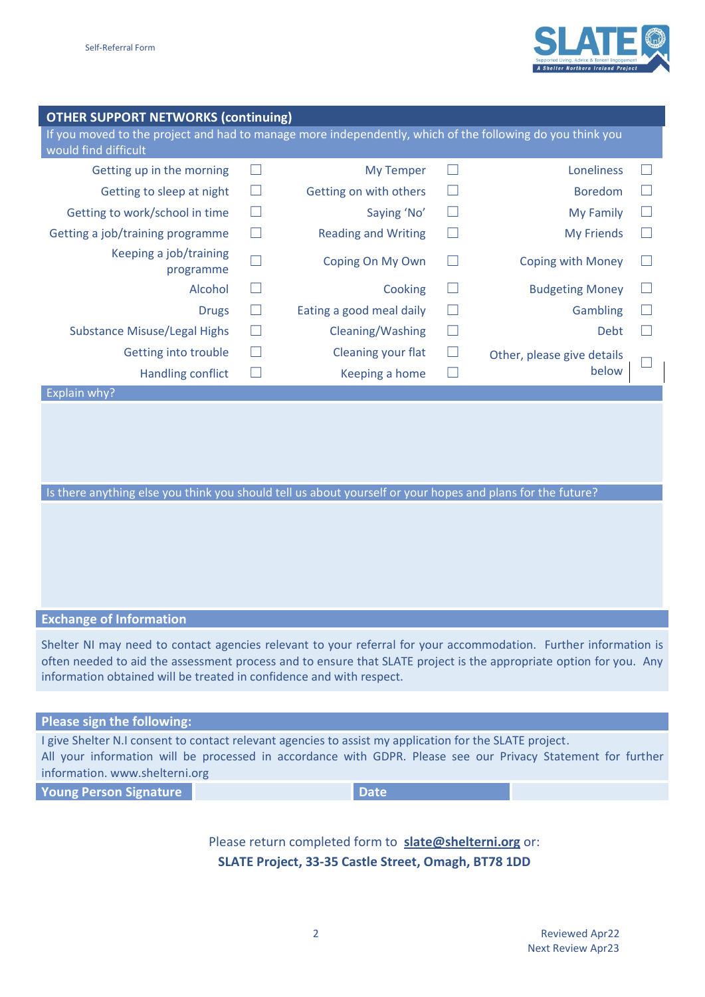

## **OTHER SUPPORT NETWORKS (continuing)**

If you moved to the project and had to manage more independently, which of the following do you think you would find difficult

| Getting up in the morning           |    | <b>My Temper</b>           |              | Loneliness                 | $\mathbf{L}$ |
|-------------------------------------|----|----------------------------|--------------|----------------------------|--------------|
| Getting to sleep at night           | L  | Getting on with others     | $\Box$       | <b>Boredom</b>             | ш            |
| Getting to work/school in time      |    | Saying 'No'                |              | My Family                  | $\mathbf{L}$ |
| Getting a job/training programme    |    | <b>Reading and Writing</b> | $\Box$       | <b>My Friends</b>          | L            |
| Keeping a job/training<br>programme |    | Coping On My Own           |              | <b>Coping with Money</b>   | $\mathbf{L}$ |
| Alcohol                             | L  | Cooking                    | L.           | <b>Budgeting Money</b>     | $\mathbf{L}$ |
| <b>Drugs</b>                        | L. | Eating a good meal daily   | $\mathbf{L}$ | Gambling                   | $\mathbf{L}$ |
| <b>Substance Misuse/Legal Highs</b> | L  | Cleaning/Washing           | $\Box$       | Debt                       | $\mathbf{L}$ |
| Getting into trouble                | L. | Cleaning your flat         | $\mathbf{L}$ | Other, please give details |              |
| <b>Handling conflict</b>            |    | Keeping a home             | m.           | below                      | Ш            |

Is there anything else you think you should tell us about yourself or your hopes and plans for the future?

## **Exchange of Information**

Explain why?

Shelter NI may need to contact agencies relevant to your referral for your accommodation. Further information is often needed to aid the assessment process and to ensure that SLATE project is the appropriate option for you. Any information obtained will be treated in confidence and with respect.

## **Please sign the following:**

I give Shelter N.I consent to contact relevant agencies to assist my application for the SLATE project. All your information will be processed in accordance with GDPR. Please see our Privacy Statement for further information. www.shelterni.org

**Young Person Signature Date** 

Please return completed form to **[slate@shelterni.org](mailto:slate@shelterni.org?subject=Self-Referral%20Form%20)** or: **SLATE Project, 33-35 Castle Street, Omagh, BT78 1DD**